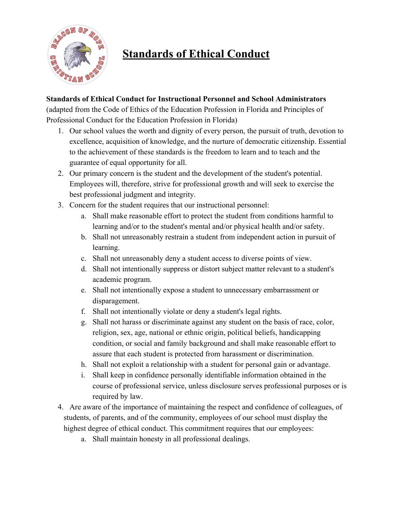

# **Standards of Ethical Conduct**

## **Standards of Ethical Conduct for Instructional Personnel and School Administrators**

(adapted from the Code of Ethics of the Education Profession in Florida and Principles of Professional Conduct for the Education Profession in Florida)

- 1. Our school values the worth and dignity of every person, the pursuit of truth, devotion to excellence, acquisition of knowledge, and the nurture of democratic citizenship. Essential to the achievement of these standards is the freedom to learn and to teach and the guarantee of equal opportunity for all.
- 2. Our primary concern is the student and the development of the student's potential. Employees will, therefore, strive for professional growth and will seek to exercise the best professional judgment and integrity.
- 3. Concern for the student requires that our instructional personnel:
	- a. Shall make reasonable effort to protect the student from conditions harmful to learning and/or to the student's mental and/or physical health and/or safety.
	- b. Shall not unreasonably restrain a student from independent action in pursuit of learning.
	- c. Shall not unreasonably deny a student access to diverse points of view.
	- d. Shall not intentionally suppress or distort subject matter relevant to a student's academic program.
	- e. Shall not intentionally expose a student to unnecessary embarrassment or disparagement.
	- f. Shall not intentionally violate or deny a student's legal rights.
	- g. Shall not harass or discriminate against any student on the basis of race, color, religion, sex, age, national or ethnic origin, political beliefs, handicapping condition, or social and family background and shall make reasonable effort to assure that each student is protected from harassment or discrimination.
	- h. Shall not exploit a relationship with a student for personal gain or advantage.
	- i. Shall keep in confidence personally identifiable information obtained in the course of professional service, unless disclosure serves professional purposes or is required by law.
- 4. Are aware of the importance of maintaining the respect and confidence of colleagues, of students, of parents, and of the community, employees of our school must display the highest degree of ethical conduct. This commitment requires that our employees:
	- a. Shall maintain honesty in all professional dealings.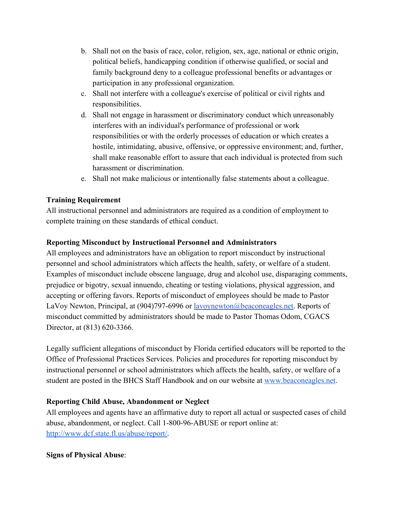- b. Shall not on the basis of race, color, religion, sex, age, national or ethnic origin, political beliefs, handicapping condition if otherwise qualified, or social and family background deny to a colleague professional benefits or advantages or participation in any professional organization.
- c. Shall not interfere with a colleague's exercise of political or civil rights and responsibilities.
- d. Shall not engage in harassment or discriminatory conduct which unreasonably interferes with an individual's performance of professional or work responsibilities or with the orderly processes of education or which creates a hostile, intimidating, abusive, offensive, or oppressive environment; and, further, shall make reasonable effort to assure that each individual is protected from such harassment or discrimination.
- e. Shall not make malicious or intentionally false statements about a colleague.

#### **Training Requirement**

All instructional personnel and administrators are required as a condition of employment to complete training on these standards of ethical conduct.

## **Reporting Misconduct by Instructional Personnel and Administrators**

All employees and administrators have an obligation to report misconduct by instructional personnel and school administrators which affects the health, safety, or welfare of a student. Examples of misconduct include obscene language, drug and alcohol use, disparaging comments, prejudice or bigotry, sexual innuendo, cheating or testing violations, physical aggression, and accepting or offering favors. Reports of misconduct of employees should be made to Pastor LaVoy Newton, Principal, at (904)797-6996 or [lavoynewton@beaconeagles.net.](mailto:lavoynewton@beaconeagles.net) Reports of misconduct committed by administrators should be made to Pastor Thomas Odom, CGACS Director, at (813) 620-3366.

Legally sufficient allegations of misconduct by Florida certified educators will be reported to the Office of Professional Practices Services. Policies and procedures for reporting misconduct by instructional personnel or school administrators which affects the health, safety, or welfare of a student are posted in the BHCS Staff Handbook and on our website at [www.beaconeagles.net](http://www.beaconeagles.net/).

## **Reporting Child Abuse, Abandonment or Neglect**

All employees and agents have an affirmative duty to report all actual or suspected cases of child abuse, abandonment, or neglect. Call 1-800-96-ABUSE or report online at: [http://www.dcf.state.fl.us/abuse/report/.](http://www.dcf.state.fl.us/abuse/report/)

## **Signs of Physical Abuse**: